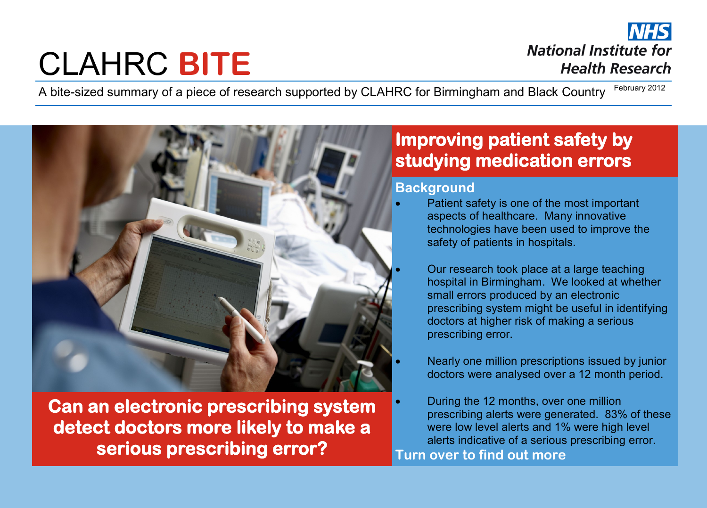# CLAHRC **BITE**

**NHS National Institute for Health Research** 

A bite-sized summary of a piece of research supported by CLAHRC for Birmingham and Black Country February 2012



**Can an electronic prescribing system detect doctors more likely to make a serious prescribing error?** 

## **Improving patient safety by studying medication errors**

#### **Background**

- Patient safety is one of the most important aspects of healthcare. Many innovative technologies have been used to improve the safety of patients in hospitals.
	- Our research took place at a large teaching hospital in Birmingham. We looked at whether small errors produced by an electronic prescribing system might be useful in identifying doctors at higher risk of making a serious prescribing error.
	- Nearly one million prescriptions issued by junior doctors were analysed over a 12 month period.
- During the 12 months, over one million prescribing alerts were generated. 83% of these were low level alerts and 1% were high level alerts indicative of a serious prescribing error. **Turn over to find out more**